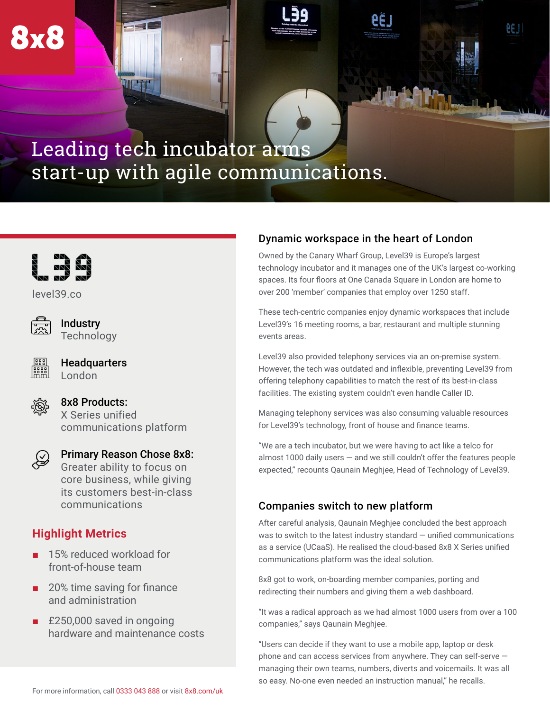# Leading tech incubator arms start-up with agile communications.



[level39.co](https://www.level39.co/)



**8x8** 

**Industry Technology** 



**Headquarters** London



8x8 Products: X Series unified communications platform



Primary Reason Chose 8x8: Greater ability to focus on core business, while giving its customers best-in-class communications

# **Highlight Metrics**

- 15% reduced workload for front-of-house team
- 20% time saving for finance and administration
- £250,000 saved in ongoing hardware and maintenance costs

## Dynamic workspace in the heart of London

Owned by the Canary Wharf Group, Level39 is Europe's largest technology incubator and it manages one of the UK's largest co-working spaces. Its four floors at One Canada Square in London are home to over 200 'member' companies that employ over 1250 staff.

eeu.

These tech-centric companies enjoy dynamic workspaces that include Level39's 16 meeting rooms, a bar, restaurant and multiple stunning events areas.

Level39 also provided telephony services via an on-premise system. However, the tech was outdated and inflexible, preventing Level39 from offering telephony capabilities to match the rest of its best-in-class facilities. The existing system couldn't even handle Caller ID.

Managing telephony services was also consuming valuable resources for Level39's technology, front of house and finance teams.

"We are a tech incubator, but we were having to act like a telco for almost 1000 daily users  $-$  and we still couldn't offer the features people expected," recounts Qaunain Meghjee, Head of Technology of Level39.

## Companies switch to new platform

After careful analysis, Qaunain Meghjee concluded the best approach was to switch to the latest industry standard — unified communications as a service (UCaaS). He realised the cloud-based 8x8 X Series unified communications platform was the ideal solution.

8x8 got to work, on-boarding member companies, porting and redirecting their numbers and giving them a web dashboard.

"It was a radical approach as we had almost 1000 users from over a 100 companies," says Qaunain Meghjee.

"Users can decide if they want to use a mobile app, laptop or desk phone and can access services from anywhere. They can self-serve managing their own teams, numbers, diverts and voicemails. It was all so easy. No-one even needed an instruction manual," he recalls.